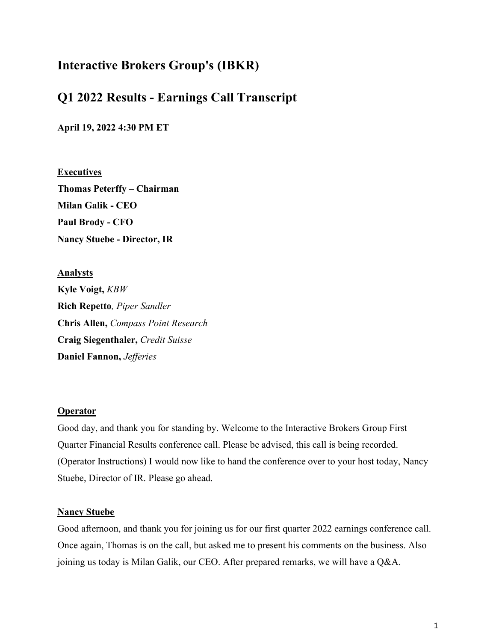# Interactive Brokers Group's (IBKR)

# Q1 2022 Results - Earnings Call Transcript

April 19, 2022 4:30 PM ET

**Executives** Thomas Peterffy – Chairman Milan Galik - CEO Paul Brody - CFO Nancy Stuebe - Director, IR

Analysts Kyle Voigt, KBW Rich Repetto, Piper Sandler Chris Allen, Compass Point Research Craig Siegenthaler, Credit Suisse Daniel Fannon, Jefferies

#### **Operator**

Good day, and thank you for standing by. Welcome to the Interactive Brokers Group First Quarter Financial Results conference call. Please be advised, this call is being recorded. (Operator Instructions) I would now like to hand the conference over to your host today, Nancy Stuebe, Director of IR. Please go ahead.

### **Nancy Stuebe**

Good afternoon, and thank you for joining us for our first quarter 2022 earnings conference call. Once again, Thomas is on the call, but asked me to present his comments on the business. Also joining us today is Milan Galik, our CEO. After prepared remarks, we will have a Q&A.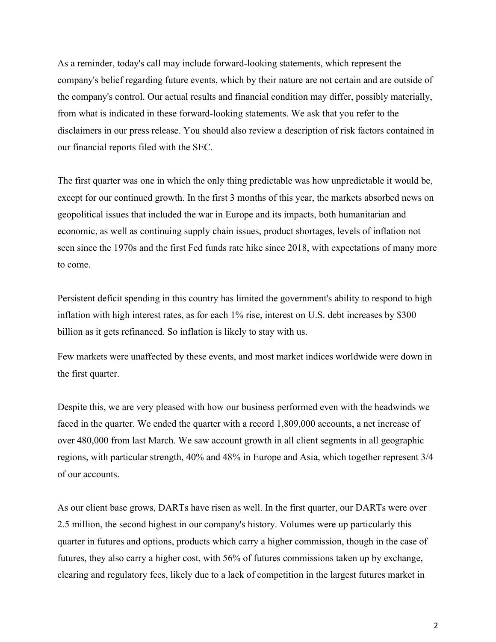As a reminder, today's call may include forward-looking statements, which represent the company's belief regarding future events, which by their nature are not certain and are outside of the company's control. Our actual results and financial condition may differ, possibly materially, from what is indicated in these forward-looking statements. We ask that you refer to the disclaimers in our press release. You should also review a description of risk factors contained in our financial reports filed with the SEC.

The first quarter was one in which the only thing predictable was how unpredictable it would be, except for our continued growth. In the first 3 months of this year, the markets absorbed news on geopolitical issues that included the war in Europe and its impacts, both humanitarian and economic, as well as continuing supply chain issues, product shortages, levels of inflation not seen since the 1970s and the first Fed funds rate hike since 2018, with expectations of many more to come.

Persistent deficit spending in this country has limited the government's ability to respond to high inflation with high interest rates, as for each 1% rise, interest on U.S. debt increases by \$300 billion as it gets refinanced. So inflation is likely to stay with us.

Few markets were unaffected by these events, and most market indices worldwide were down in the first quarter.

Despite this, we are very pleased with how our business performed even with the headwinds we faced in the quarter. We ended the quarter with a record 1,809,000 accounts, a net increase of over 480,000 from last March. We saw account growth in all client segments in all geographic regions, with particular strength, 40% and 48% in Europe and Asia, which together represent 3/4 of our accounts.

As our client base grows, DARTs have risen as well. In the first quarter, our DARTs were over 2.5 million, the second highest in our company's history. Volumes were up particularly this quarter in futures and options, products which carry a higher commission, though in the case of futures, they also carry a higher cost, with 56% of futures commissions taken up by exchange, clearing and regulatory fees, likely due to a lack of competition in the largest futures market in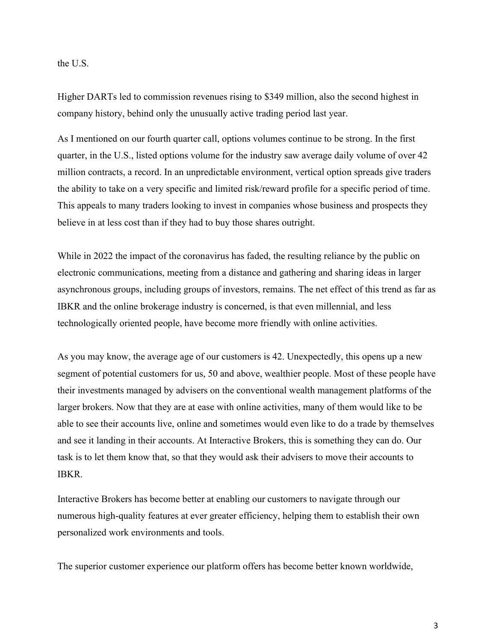the U.S.

Higher DARTs led to commission revenues rising to \$349 million, also the second highest in company history, behind only the unusually active trading period last year.

As I mentioned on our fourth quarter call, options volumes continue to be strong. In the first quarter, in the U.S., listed options volume for the industry saw average daily volume of over 42 million contracts, a record. In an unpredictable environment, vertical option spreads give traders the ability to take on a very specific and limited risk/reward profile for a specific period of time. This appeals to many traders looking to invest in companies whose business and prospects they believe in at less cost than if they had to buy those shares outright.

While in 2022 the impact of the coronavirus has faded, the resulting reliance by the public on electronic communications, meeting from a distance and gathering and sharing ideas in larger asynchronous groups, including groups of investors, remains. The net effect of this trend as far as IBKR and the online brokerage industry is concerned, is that even millennial, and less technologically oriented people, have become more friendly with online activities.

As you may know, the average age of our customers is 42. Unexpectedly, this opens up a new segment of potential customers for us, 50 and above, wealthier people. Most of these people have their investments managed by advisers on the conventional wealth management platforms of the larger brokers. Now that they are at ease with online activities, many of them would like to be able to see their accounts live, online and sometimes would even like to do a trade by themselves and see it landing in their accounts. At Interactive Brokers, this is something they can do. Our task is to let them know that, so that they would ask their advisers to move their accounts to IBKR.

Interactive Brokers has become better at enabling our customers to navigate through our numerous high-quality features at ever greater efficiency, helping them to establish their own personalized work environments and tools.

The superior customer experience our platform offers has become better known worldwide,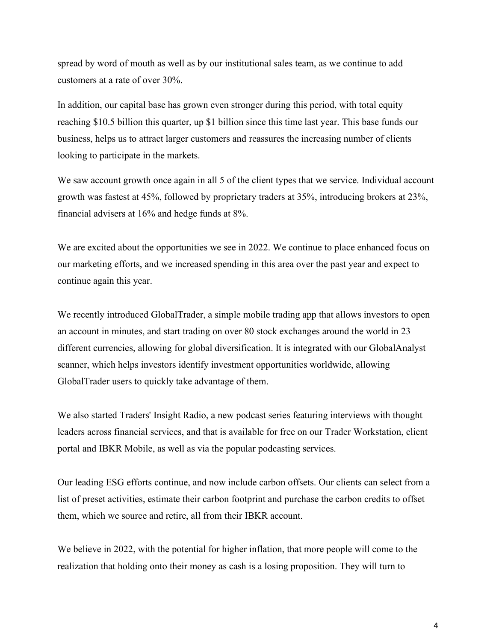spread by word of mouth as well as by our institutional sales team, as we continue to add customers at a rate of over 30%.

In addition, our capital base has grown even stronger during this period, with total equity reaching \$10.5 billion this quarter, up \$1 billion since this time last year. This base funds our business, helps us to attract larger customers and reassures the increasing number of clients looking to participate in the markets.

We saw account growth once again in all 5 of the client types that we service. Individual account growth was fastest at 45%, followed by proprietary traders at 35%, introducing brokers at 23%, financial advisers at 16% and hedge funds at 8%.

We are excited about the opportunities we see in 2022. We continue to place enhanced focus on our marketing efforts, and we increased spending in this area over the past year and expect to continue again this year.

We recently introduced GlobalTrader, a simple mobile trading app that allows investors to open an account in minutes, and start trading on over 80 stock exchanges around the world in 23 different currencies, allowing for global diversification. It is integrated with our GlobalAnalyst scanner, which helps investors identify investment opportunities worldwide, allowing GlobalTrader users to quickly take advantage of them.

We also started Traders' Insight Radio, a new podcast series featuring interviews with thought leaders across financial services, and that is available for free on our Trader Workstation, client portal and IBKR Mobile, as well as via the popular podcasting services.

Our leading ESG efforts continue, and now include carbon offsets. Our clients can select from a list of preset activities, estimate their carbon footprint and purchase the carbon credits to offset them, which we source and retire, all from their IBKR account.

We believe in 2022, with the potential for higher inflation, that more people will come to the realization that holding onto their money as cash is a losing proposition. They will turn to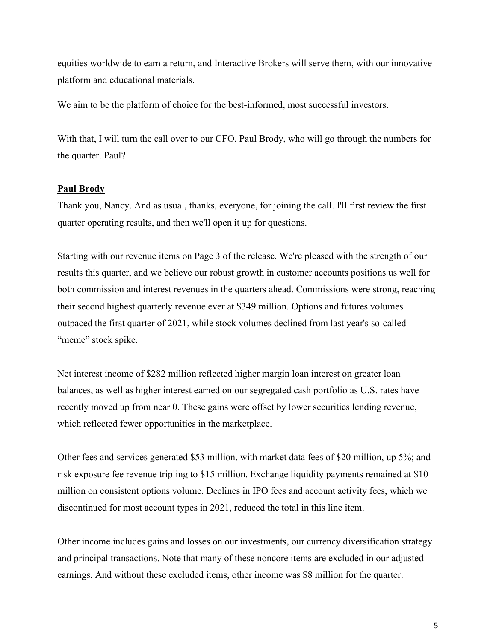equities worldwide to earn a return, and Interactive Brokers will serve them, with our innovative platform and educational materials.

We aim to be the platform of choice for the best-informed, most successful investors.

With that, I will turn the call over to our CFO, Paul Brody, who will go through the numbers for the quarter. Paul?

#### Paul Brody

Thank you, Nancy. And as usual, thanks, everyone, for joining the call. I'll first review the first quarter operating results, and then we'll open it up for questions.

Starting with our revenue items on Page 3 of the release. We're pleased with the strength of our results this quarter, and we believe our robust growth in customer accounts positions us well for both commission and interest revenues in the quarters ahead. Commissions were strong, reaching their second highest quarterly revenue ever at \$349 million. Options and futures volumes outpaced the first quarter of 2021, while stock volumes declined from last year's so-called "meme" stock spike.

Net interest income of \$282 million reflected higher margin loan interest on greater loan balances, as well as higher interest earned on our segregated cash portfolio as U.S. rates have recently moved up from near 0. These gains were offset by lower securities lending revenue, which reflected fewer opportunities in the marketplace.

Other fees and services generated \$53 million, with market data fees of \$20 million, up 5%; and risk exposure fee revenue tripling to \$15 million. Exchange liquidity payments remained at \$10 million on consistent options volume. Declines in IPO fees and account activity fees, which we discontinued for most account types in 2021, reduced the total in this line item.

Other income includes gains and losses on our investments, our currency diversification strategy and principal transactions. Note that many of these noncore items are excluded in our adjusted earnings. And without these excluded items, other income was \$8 million for the quarter.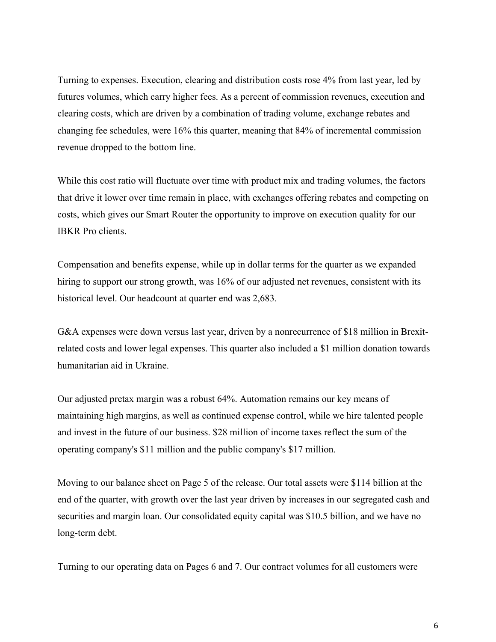Turning to expenses. Execution, clearing and distribution costs rose 4% from last year, led by futures volumes, which carry higher fees. As a percent of commission revenues, execution and clearing costs, which are driven by a combination of trading volume, exchange rebates and changing fee schedules, were 16% this quarter, meaning that 84% of incremental commission revenue dropped to the bottom line.

While this cost ratio will fluctuate over time with product mix and trading volumes, the factors that drive it lower over time remain in place, with exchanges offering rebates and competing on costs, which gives our Smart Router the opportunity to improve on execution quality for our IBKR Pro clients.

Compensation and benefits expense, while up in dollar terms for the quarter as we expanded hiring to support our strong growth, was 16% of our adjusted net revenues, consistent with its historical level. Our headcount at quarter end was 2,683.

G&A expenses were down versus last year, driven by a nonrecurrence of \$18 million in Brexitrelated costs and lower legal expenses. This quarter also included a \$1 million donation towards humanitarian aid in Ukraine.

Our adjusted pretax margin was a robust 64%. Automation remains our key means of maintaining high margins, as well as continued expense control, while we hire talented people and invest in the future of our business. \$28 million of income taxes reflect the sum of the operating company's \$11 million and the public company's \$17 million.

Moving to our balance sheet on Page 5 of the release. Our total assets were \$114 billion at the end of the quarter, with growth over the last year driven by increases in our segregated cash and securities and margin loan. Our consolidated equity capital was \$10.5 billion, and we have no long-term debt.

Turning to our operating data on Pages 6 and 7. Our contract volumes for all customers were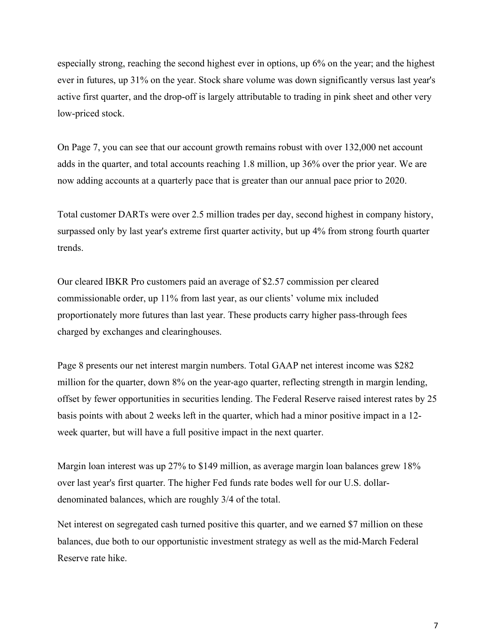especially strong, reaching the second highest ever in options, up 6% on the year; and the highest ever in futures, up 31% on the year. Stock share volume was down significantly versus last year's active first quarter, and the drop-off is largely attributable to trading in pink sheet and other very low-priced stock.

On Page 7, you can see that our account growth remains robust with over 132,000 net account adds in the quarter, and total accounts reaching 1.8 million, up 36% over the prior year. We are now adding accounts at a quarterly pace that is greater than our annual pace prior to 2020.

Total customer DARTs were over 2.5 million trades per day, second highest in company history, surpassed only by last year's extreme first quarter activity, but up 4% from strong fourth quarter trends.

Our cleared IBKR Pro customers paid an average of \$2.57 commission per cleared commissionable order, up 11% from last year, as our clients' volume mix included proportionately more futures than last year. These products carry higher pass-through fees charged by exchanges and clearinghouses.

Page 8 presents our net interest margin numbers. Total GAAP net interest income was \$282 million for the quarter, down 8% on the year-ago quarter, reflecting strength in margin lending, offset by fewer opportunities in securities lending. The Federal Reserve raised interest rates by 25 basis points with about 2 weeks left in the quarter, which had a minor positive impact in a 12 week quarter, but will have a full positive impact in the next quarter.

Margin loan interest was up 27% to \$149 million, as average margin loan balances grew 18% over last year's first quarter. The higher Fed funds rate bodes well for our U.S. dollardenominated balances, which are roughly 3/4 of the total.

Net interest on segregated cash turned positive this quarter, and we earned \$7 million on these balances, due both to our opportunistic investment strategy as well as the mid-March Federal Reserve rate hike.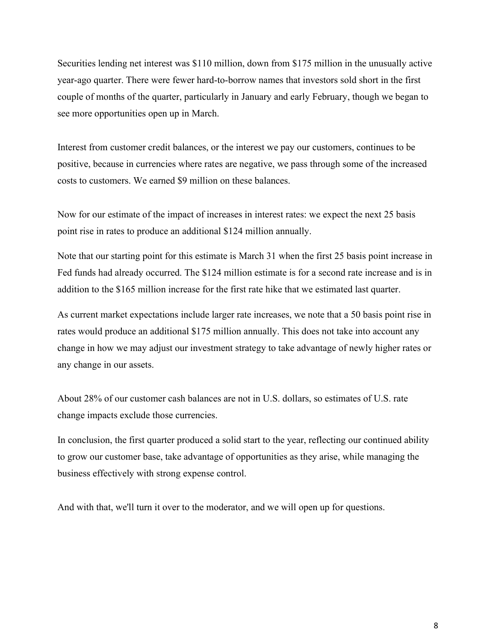Securities lending net interest was \$110 million, down from \$175 million in the unusually active year-ago quarter. There were fewer hard-to-borrow names that investors sold short in the first couple of months of the quarter, particularly in January and early February, though we began to see more opportunities open up in March.

Interest from customer credit balances, or the interest we pay our customers, continues to be positive, because in currencies where rates are negative, we pass through some of the increased costs to customers. We earned \$9 million on these balances.

Now for our estimate of the impact of increases in interest rates: we expect the next 25 basis point rise in rates to produce an additional \$124 million annually.

Note that our starting point for this estimate is March 31 when the first 25 basis point increase in Fed funds had already occurred. The \$124 million estimate is for a second rate increase and is in addition to the \$165 million increase for the first rate hike that we estimated last quarter.

As current market expectations include larger rate increases, we note that a 50 basis point rise in rates would produce an additional \$175 million annually. This does not take into account any change in how we may adjust our investment strategy to take advantage of newly higher rates or any change in our assets.

About 28% of our customer cash balances are not in U.S. dollars, so estimates of U.S. rate change impacts exclude those currencies.

In conclusion, the first quarter produced a solid start to the year, reflecting our continued ability to grow our customer base, take advantage of opportunities as they arise, while managing the business effectively with strong expense control.

And with that, we'll turn it over to the moderator, and we will open up for questions.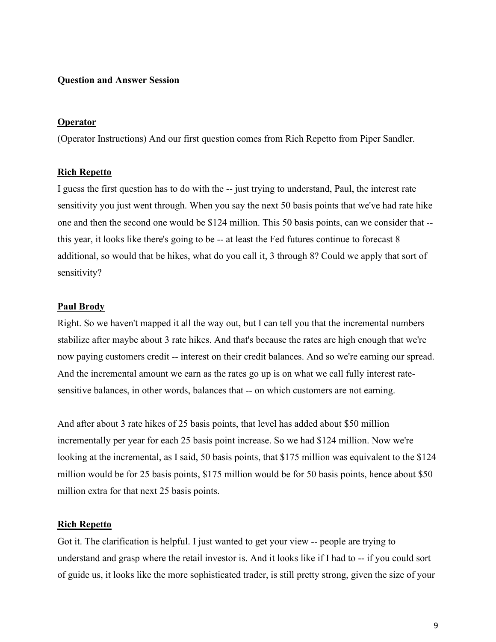### Question and Answer Session

#### Operator

(Operator Instructions) And our first question comes from Rich Repetto from Piper Sandler.

#### Rich Repetto

I guess the first question has to do with the -- just trying to understand, Paul, the interest rate sensitivity you just went through. When you say the next 50 basis points that we've had rate hike one and then the second one would be \$124 million. This 50 basis points, can we consider that - this year, it looks like there's going to be -- at least the Fed futures continue to forecast 8 additional, so would that be hikes, what do you call it, 3 through 8? Could we apply that sort of sensitivity?

#### Paul Brody

Right. So we haven't mapped it all the way out, but I can tell you that the incremental numbers stabilize after maybe about 3 rate hikes. And that's because the rates are high enough that we're now paying customers credit -- interest on their credit balances. And so we're earning our spread. And the incremental amount we earn as the rates go up is on what we call fully interest ratesensitive balances, in other words, balances that -- on which customers are not earning.

And after about 3 rate hikes of 25 basis points, that level has added about \$50 million incrementally per year for each 25 basis point increase. So we had \$124 million. Now we're looking at the incremental, as I said, 50 basis points, that \$175 million was equivalent to the \$124 million would be for 25 basis points, \$175 million would be for 50 basis points, hence about \$50 million extra for that next 25 basis points.

#### **Rich Repetto**

Got it. The clarification is helpful. I just wanted to get your view -- people are trying to understand and grasp where the retail investor is. And it looks like if I had to -- if you could sort of guide us, it looks like the more sophisticated trader, is still pretty strong, given the size of your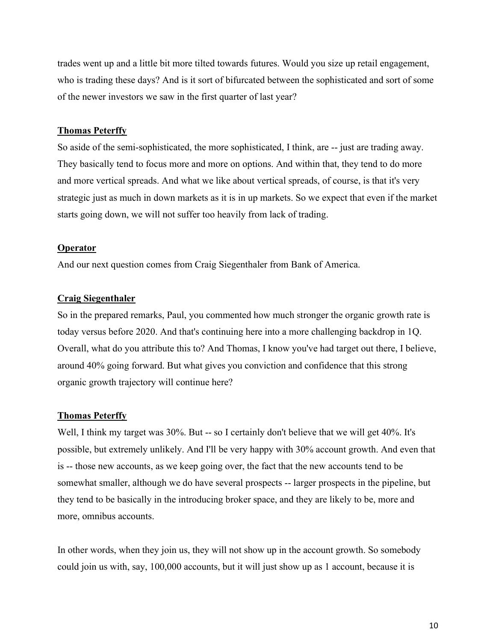trades went up and a little bit more tilted towards futures. Would you size up retail engagement, who is trading these days? And is it sort of bifurcated between the sophisticated and sort of some of the newer investors we saw in the first quarter of last year?

#### Thomas Peterffy

So aside of the semi-sophisticated, the more sophisticated, I think, are -- just are trading away. They basically tend to focus more and more on options. And within that, they tend to do more and more vertical spreads. And what we like about vertical spreads, of course, is that it's very strategic just as much in down markets as it is in up markets. So we expect that even if the market starts going down, we will not suffer too heavily from lack of trading.

#### **Operator**

And our next question comes from Craig Siegenthaler from Bank of America.

#### Craig Siegenthaler

So in the prepared remarks, Paul, you commented how much stronger the organic growth rate is today versus before 2020. And that's continuing here into a more challenging backdrop in 1Q. Overall, what do you attribute this to? And Thomas, I know you've had target out there, I believe, around 40% going forward. But what gives you conviction and confidence that this strong organic growth trajectory will continue here?

#### Thomas Peterffy

Well, I think my target was 30%. But -- so I certainly don't believe that we will get 40%. It's possible, but extremely unlikely. And I'll be very happy with 30% account growth. And even that is -- those new accounts, as we keep going over, the fact that the new accounts tend to be somewhat smaller, although we do have several prospects -- larger prospects in the pipeline, but they tend to be basically in the introducing broker space, and they are likely to be, more and more, omnibus accounts.

In other words, when they join us, they will not show up in the account growth. So somebody could join us with, say, 100,000 accounts, but it will just show up as 1 account, because it is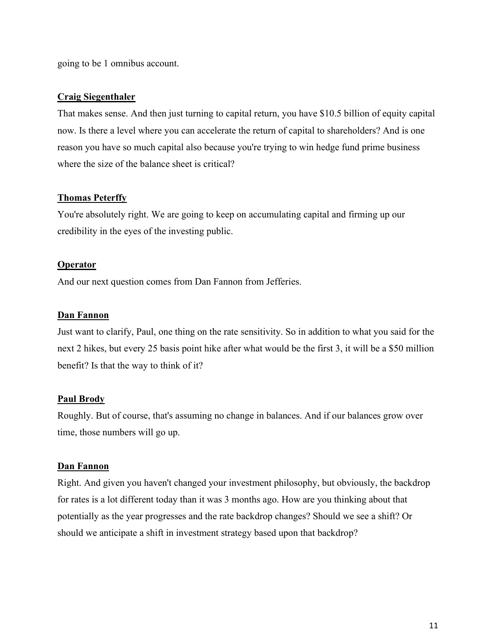going to be 1 omnibus account.

### Craig Siegenthaler

That makes sense. And then just turning to capital return, you have \$10.5 billion of equity capital now. Is there a level where you can accelerate the return of capital to shareholders? And is one reason you have so much capital also because you're trying to win hedge fund prime business where the size of the balance sheet is critical?

### Thomas Peterffy

You're absolutely right. We are going to keep on accumulating capital and firming up our credibility in the eyes of the investing public.

### **Operator**

And our next question comes from Dan Fannon from Jefferies.

### Dan Fannon

Just want to clarify, Paul, one thing on the rate sensitivity. So in addition to what you said for the next 2 hikes, but every 25 basis point hike after what would be the first 3, it will be a \$50 million benefit? Is that the way to think of it?

## Paul Brody

Roughly. But of course, that's assuming no change in balances. And if our balances grow over time, those numbers will go up.

### Dan Fannon

Right. And given you haven't changed your investment philosophy, but obviously, the backdrop for rates is a lot different today than it was 3 months ago. How are you thinking about that potentially as the year progresses and the rate backdrop changes? Should we see a shift? Or should we anticipate a shift in investment strategy based upon that backdrop?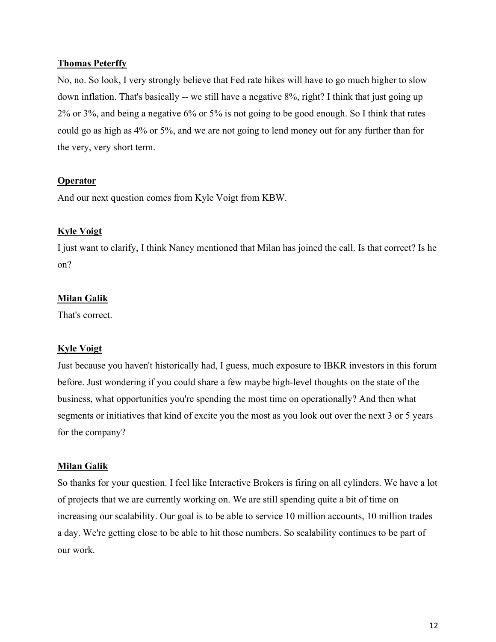### Thomas Peterffy

No, no. So look, I very strongly believe that Fed rate hikes will have to go much higher to slow down inflation. That's basically -- we still have a negative 8%, right? I think that just going up 2% or 3%, and being a negative 6% or 5% is not going to be good enough. So I think that rates could go as high as 4% or 5%, and we are not going to lend money out for any further than for the very, very short term.

### **Operator**

And our next question comes from Kyle Voigt from KBW.

### Kyle Voigt

I just want to clarify, I think Nancy mentioned that Milan has joined the call. Is that correct? Is he on?

### Milan Galik

That's correct.

## Kyle Voigt

Just because you haven't historically had, I guess, much exposure to IBKR investors in this forum before. Just wondering if you could share a few maybe high-level thoughts on the state of the business, what opportunities you're spending the most time on operationally? And then what segments or initiatives that kind of excite you the most as you look out over the next 3 or 5 years for the company?

### Milan Galik

So thanks for your question. I feel like Interactive Brokers is firing on all cylinders. We have a lot of projects that we are currently working on. We are still spending quite a bit of time on increasing our scalability. Our goal is to be able to service 10 million accounts, 10 million trades a day. We're getting close to be able to hit those numbers. So scalability continues to be part of our work.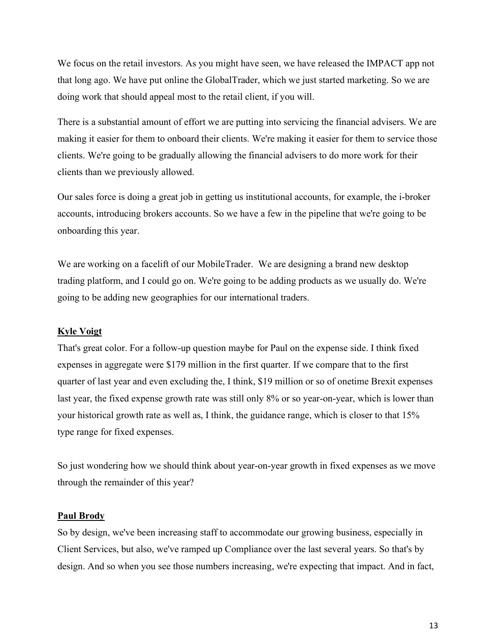We focus on the retail investors. As you might have seen, we have released the IMPACT app not that long ago. We have put online the GlobalTrader, which we just started marketing. So we are doing work that should appeal most to the retail client, if you will.

There is a substantial amount of effort we are putting into servicing the financial advisers. We are making it easier for them to onboard their clients. We're making it easier for them to service those clients. We're going to be gradually allowing the financial advisers to do more work for their clients than we previously allowed.

Our sales force is doing a great job in getting us institutional accounts, for example, the i-broker accounts, introducing brokers accounts. So we have a few in the pipeline that we're going to be onboarding this year.

We are working on a facelift of our MobileTrader. We are designing a brand new desktop trading platform, and I could go on. We're going to be adding products as we usually do. We're going to be adding new geographies for our international traders.

### Kyle Voigt

That's great color. For a follow-up question maybe for Paul on the expense side. I think fixed expenses in aggregate were \$179 million in the first quarter. If we compare that to the first quarter of last year and even excluding the, I think, \$19 million or so of onetime Brexit expenses last year, the fixed expense growth rate was still only 8% or so year-on-year, which is lower than your historical growth rate as well as, I think, the guidance range, which is closer to that 15% type range for fixed expenses.

So just wondering how we should think about year-on-year growth in fixed expenses as we move through the remainder of this year?

#### **Paul Brody**

So by design, we've been increasing staff to accommodate our growing business, especially in Client Services, but also, we've ramped up Compliance over the last several years. So that's by design. And so when you see those numbers increasing, we're expecting that impact. And in fact,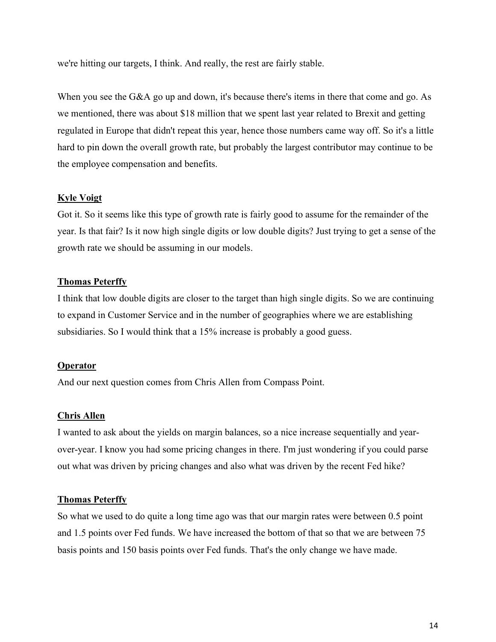we're hitting our targets, I think. And really, the rest are fairly stable.

When you see the G&A go up and down, it's because there's items in there that come and go. As we mentioned, there was about \$18 million that we spent last year related to Brexit and getting regulated in Europe that didn't repeat this year, hence those numbers came way off. So it's a little hard to pin down the overall growth rate, but probably the largest contributor may continue to be the employee compensation and benefits.

### Kyle Voigt

Got it. So it seems like this type of growth rate is fairly good to assume for the remainder of the year. Is that fair? Is it now high single digits or low double digits? Just trying to get a sense of the growth rate we should be assuming in our models.

### Thomas Peterffy

I think that low double digits are closer to the target than high single digits. So we are continuing to expand in Customer Service and in the number of geographies where we are establishing subsidiaries. So I would think that a 15% increase is probably a good guess.

## **Operator**

And our next question comes from Chris Allen from Compass Point.

### Chris Allen

I wanted to ask about the yields on margin balances, so a nice increase sequentially and yearover-year. I know you had some pricing changes in there. I'm just wondering if you could parse out what was driven by pricing changes and also what was driven by the recent Fed hike?

### Thomas Peterffy

So what we used to do quite a long time ago was that our margin rates were between 0.5 point and 1.5 points over Fed funds. We have increased the bottom of that so that we are between 75 basis points and 150 basis points over Fed funds. That's the only change we have made.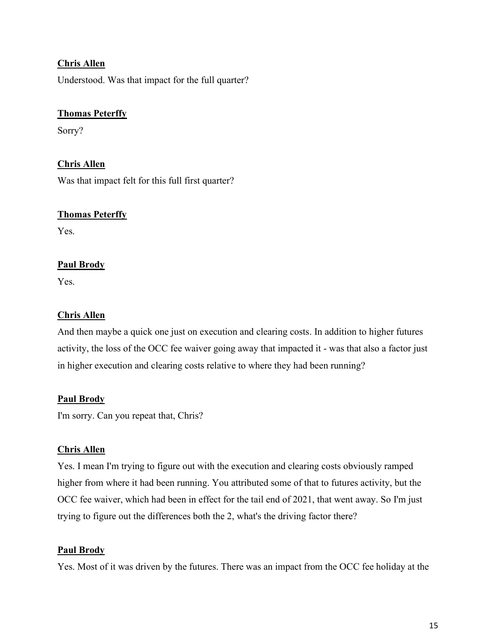# Chris Allen

Understood. Was that impact for the full quarter?

# Thomas Peterffy

Sorry?

# Chris Allen

Was that impact felt for this full first quarter?

## Thomas Peterffy

Yes.

# **Paul Brody**

Yes.

# Chris Allen

And then maybe a quick one just on execution and clearing costs. In addition to higher futures activity, the loss of the OCC fee waiver going away that impacted it - was that also a factor just in higher execution and clearing costs relative to where they had been running?

## Paul Brody

I'm sorry. Can you repeat that, Chris?

## Chris Allen

Yes. I mean I'm trying to figure out with the execution and clearing costs obviously ramped higher from where it had been running. You attributed some of that to futures activity, but the OCC fee waiver, which had been in effect for the tail end of 2021, that went away. So I'm just trying to figure out the differences both the 2, what's the driving factor there?

## Paul Brody

Yes. Most of it was driven by the futures. There was an impact from the OCC fee holiday at the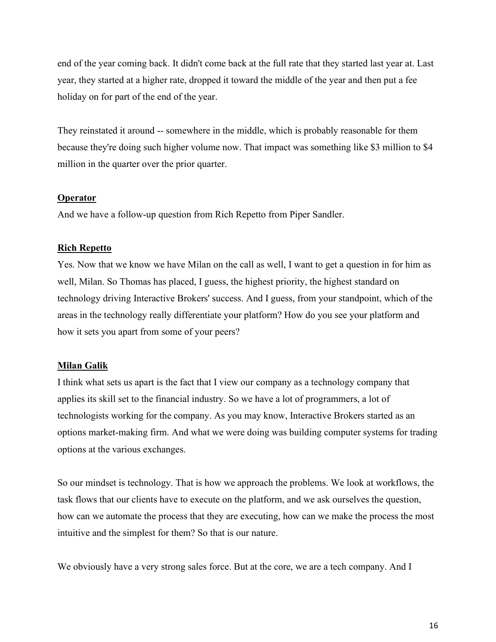end of the year coming back. It didn't come back at the full rate that they started last year at. Last year, they started at a higher rate, dropped it toward the middle of the year and then put a fee holiday on for part of the end of the year.

They reinstated it around -- somewhere in the middle, which is probably reasonable for them because they're doing such higher volume now. That impact was something like \$3 million to \$4 million in the quarter over the prior quarter.

### **Operator**

And we have a follow-up question from Rich Repetto from Piper Sandler.

## Rich Repetto

Yes. Now that we know we have Milan on the call as well, I want to get a question in for him as well, Milan. So Thomas has placed, I guess, the highest priority, the highest standard on technology driving Interactive Brokers' success. And I guess, from your standpoint, which of the areas in the technology really differentiate your platform? How do you see your platform and how it sets you apart from some of your peers?

## Milan Galik

I think what sets us apart is the fact that I view our company as a technology company that applies its skill set to the financial industry. So we have a lot of programmers, a lot of technologists working for the company. As you may know, Interactive Brokers started as an options market-making firm. And what we were doing was building computer systems for trading options at the various exchanges.

So our mindset is technology. That is how we approach the problems. We look at workflows, the task flows that our clients have to execute on the platform, and we ask ourselves the question, how can we automate the process that they are executing, how can we make the process the most intuitive and the simplest for them? So that is our nature.

We obviously have a very strong sales force. But at the core, we are a tech company. And I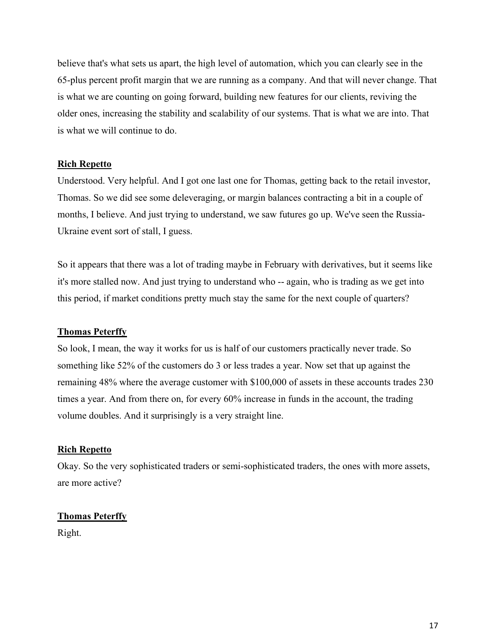believe that's what sets us apart, the high level of automation, which you can clearly see in the 65-plus percent profit margin that we are running as a company. And that will never change. That is what we are counting on going forward, building new features for our clients, reviving the older ones, increasing the stability and scalability of our systems. That is what we are into. That is what we will continue to do.

## **Rich Repetto**

Understood. Very helpful. And I got one last one for Thomas, getting back to the retail investor, Thomas. So we did see some deleveraging, or margin balances contracting a bit in a couple of months, I believe. And just trying to understand, we saw futures go up. We've seen the Russia-Ukraine event sort of stall, I guess.

So it appears that there was a lot of trading maybe in February with derivatives, but it seems like it's more stalled now. And just trying to understand who -- again, who is trading as we get into this period, if market conditions pretty much stay the same for the next couple of quarters?

### Thomas Peterffy

So look, I mean, the way it works for us is half of our customers practically never trade. So something like 52% of the customers do 3 or less trades a year. Now set that up against the remaining 48% where the average customer with \$100,000 of assets in these accounts trades 230 times a year. And from there on, for every 60% increase in funds in the account, the trading volume doubles. And it surprisingly is a very straight line.

### **Rich Repetto**

Okay. So the very sophisticated traders or semi-sophisticated traders, the ones with more assets, are more active?

## Thomas Peterffy

Right.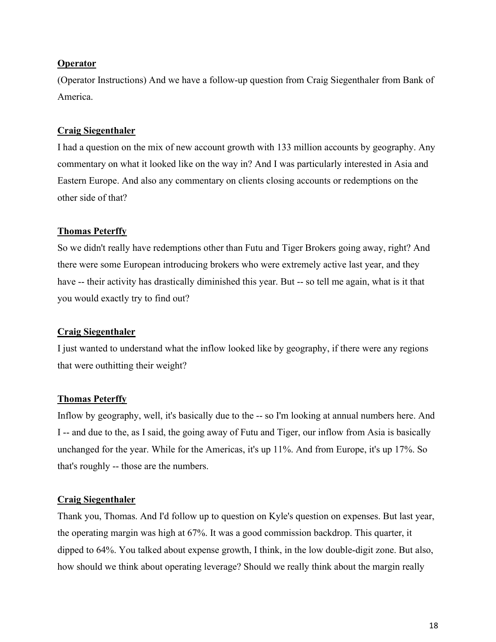### **Operator**

(Operator Instructions) And we have a follow-up question from Craig Siegenthaler from Bank of America.

### Craig Siegenthaler

I had a question on the mix of new account growth with 133 million accounts by geography. Any commentary on what it looked like on the way in? And I was particularly interested in Asia and Eastern Europe. And also any commentary on clients closing accounts or redemptions on the other side of that?

### Thomas Peterffy

So we didn't really have redemptions other than Futu and Tiger Brokers going away, right? And there were some European introducing brokers who were extremely active last year, and they have -- their activity has drastically diminished this year. But -- so tell me again, what is it that you would exactly try to find out?

### Craig Siegenthaler

I just wanted to understand what the inflow looked like by geography, if there were any regions that were outhitting their weight?

## Thomas Peterffy

Inflow by geography, well, it's basically due to the -- so I'm looking at annual numbers here. And I -- and due to the, as I said, the going away of Futu and Tiger, our inflow from Asia is basically unchanged for the year. While for the Americas, it's up 11%. And from Europe, it's up 17%. So that's roughly -- those are the numbers.

### Craig Siegenthaler

Thank you, Thomas. And I'd follow up to question on Kyle's question on expenses. But last year, the operating margin was high at 67%. It was a good commission backdrop. This quarter, it dipped to 64%. You talked about expense growth, I think, in the low double-digit zone. But also, how should we think about operating leverage? Should we really think about the margin really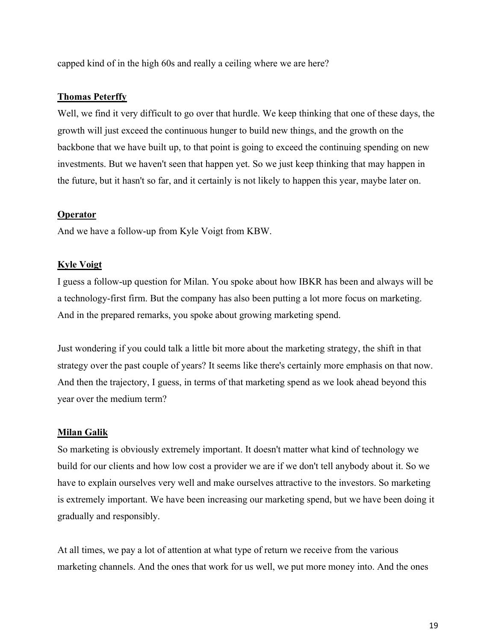capped kind of in the high 60s and really a ceiling where we are here?

#### Thomas Peterffy

Well, we find it very difficult to go over that hurdle. We keep thinking that one of these days, the growth will just exceed the continuous hunger to build new things, and the growth on the backbone that we have built up, to that point is going to exceed the continuing spending on new investments. But we haven't seen that happen yet. So we just keep thinking that may happen in the future, but it hasn't so far, and it certainly is not likely to happen this year, maybe later on.

#### Operator

And we have a follow-up from Kyle Voigt from KBW.

#### Kyle Voigt

I guess a follow-up question for Milan. You spoke about how IBKR has been and always will be a technology-first firm. But the company has also been putting a lot more focus on marketing. And in the prepared remarks, you spoke about growing marketing spend.

Just wondering if you could talk a little bit more about the marketing strategy, the shift in that strategy over the past couple of years? It seems like there's certainly more emphasis on that now. And then the trajectory, I guess, in terms of that marketing spend as we look ahead beyond this year over the medium term?

#### Milan Galik

So marketing is obviously extremely important. It doesn't matter what kind of technology we build for our clients and how low cost a provider we are if we don't tell anybody about it. So we have to explain ourselves very well and make ourselves attractive to the investors. So marketing is extremely important. We have been increasing our marketing spend, but we have been doing it gradually and responsibly.

At all times, we pay a lot of attention at what type of return we receive from the various marketing channels. And the ones that work for us well, we put more money into. And the ones